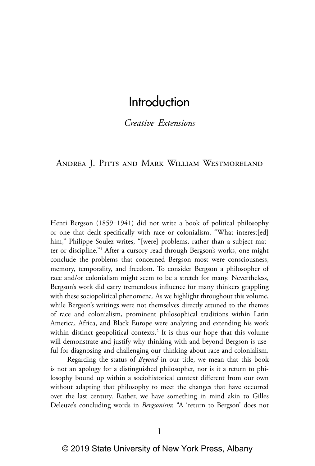*Creative Extensions*

### Andrea J. Pitts and Mark William Westmoreland

Henri Bergson (1859-1941) did not write a book of political philosophy or one that dealt specifically with race or colonialism. "What interest[ed] him," Philippe Soulez writes, "[were] problems, rather than a subject matter or discipline."1 After a cursory read through Bergson's works, one might conclude the problems that concerned Bergson most were consciousness, memory, temporality, and freedom. To consider Bergson a philosopher of race and/or colonialism might seem to be a stretch for many. Nevertheless, Bergson's work did carry tremendous influence for many thinkers grappling with these sociopolitical phenomena. As we highlight throughout this volume, while Bergson's writings were not themselves directly attuned to the themes of race and colonialism, prominent philosophical traditions within Latin America, Africa, and Black Europe were analyzing and extending his work within distinct geopolitical contexts.2 It is thus our hope that this volume will demonstrate and justify why thinking with and beyond Bergson is useful for diagnosing and challenging our thinking about race and colonialism.

Regarding the status of *Beyond* in our title, we mean that this book is not an apology for a distinguished philosopher, nor is it a return to philosophy bound up within a sociohistorical context different from our own without adapting that philosophy to meet the changes that have occurred over the last century. Rather, we have something in mind akin to Gilles Deleuze's concluding words in *Bergsonism*: "A 'return to Bergson' does not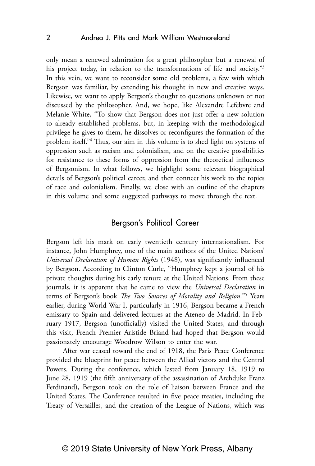only mean a renewed admiration for a great philosopher but a renewal of his project today, in relation to the transformations of life and society."<sup>3</sup> In this vein, we want to reconsider some old problems, a few with which Bergson was familiar, by extending his thought in new and creative ways. Likewise, we want to apply Bergson's thought to questions unknown or not discussed by the philosopher. And, we hope, like Alexandre Lefebvre and Melanie White, "To show that Bergson does not just offer a new solution to already established problems, but, in keeping with the methodological privilege he gives to them, he dissolves or reconfigures the formation of the problem itself."4 Thus, our aim in this volume is to shed light on systems of oppression such as racism and colonialism, and on the creative possibilities for resistance to these forms of oppression from the theoretical influences of Bergsonism. In what follows, we highlight some relevant biographical details of Bergson's political career, and then connect his work to the topics of race and colonialism. Finally, we close with an outline of the chapters in this volume and some suggested pathways to move through the text.

# Bergson's Political Career

Bergson left his mark on early twentieth century internationalism. For instance, John Humphrey, one of the main authors of the United Nations' *Universal Declaration of Human Rights* (1948), was significantly influenced by Bergson. According to Clinton Curle, "Humphrey kept a journal of his private thoughts during his early tenure at the United Nations. From these journals, it is apparent that he came to view the *Universal Declaration* in terms of Bergson's book *The Two Sources of Morality and Religion.*"5 Years earlier, during World War I, particularly in 1916, Bergson became a French emissary to Spain and delivered lectures at the Ateneo de Madrid. In February 1917, Bergson (unofficially) visited the United States, and through this visit, French Premier Aristide Briand had hoped that Bergson would passionately encourage Woodrow Wilson to enter the war.

After war ceased toward the end of 1918, the Paris Peace Conference provided the blueprint for peace between the Allied victors and the Central Powers. During the conference, which lasted from January 18, 1919 to June 28, 1919 (the fifth anniversary of the assassination of Archduke Franz Ferdinand), Bergson took on the role of liaison between France and the United States. The Conference resulted in five peace treaties, including the Treaty of Versailles, and the creation of the League of Nations, which was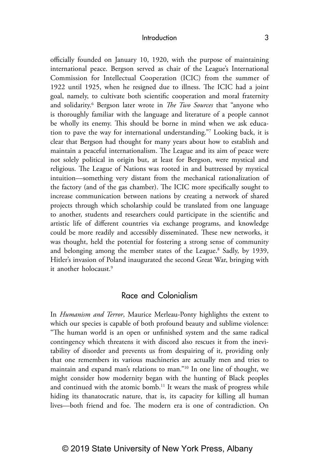officially founded on January 10, 1920, with the purpose of maintaining international peace. Bergson served as chair of the League's International Commission for Intellectual Cooperation (ICIC) from the summer of 1922 until 1925, when he resigned due to illness. The ICIC had a joint goal, namely, to cultivate both scientific cooperation and moral fraternity and solidarity.6 Bergson later wrote in *The Two Sources* that "anyone who is thoroughly familiar with the language and literature of a people cannot be wholly its enemy. This should be borne in mind when we ask education to pave the way for international understanding."7 Looking back, it is clear that Bergson had thought for many years about how to establish and maintain a peaceful internationalism. The League and its aim of peace were not solely political in origin but, at least for Bergson, were mystical and religious. The League of Nations was rooted in and buttressed by mystical intuition—something very distant from the mechanical rationalization of the factory (and of the gas chamber). The ICIC more specifically sought to increase communication between nations by creating a network of shared projects through which scholarship could be translated from one language to another, students and researchers could participate in the scientific and artistic life of different countries via exchange programs, and knowledge could be more readily and accessibly disseminated. These new networks, it was thought, held the potential for fostering a strong sense of community and belonging among the member states of the League.<sup>8</sup> Sadly, by 1939, Hitler's invasion of Poland inaugurated the second Great War, bringing with it another holocaust.9

## Race and Colonialism

In *Humanism and Terror*, Maurice Merleau-Ponty highlights the extent to which our species is capable of both profound beauty and sublime violence: "The human world is an open or unfinished system and the same radical contingency which threatens it with discord also rescues it from the inevitability of disorder and prevents us from despairing of it, providing only that one remembers its various machineries are actually men and tries to maintain and expand man's relations to man."10 In one line of thought, we might consider how modernity began with the hunting of Black peoples and continued with the atomic bomb.<sup>11</sup> It wears the mask of progress while hiding its thanatocratic nature, that is, its capacity for killing all human lives—both friend and foe. The modern era is one of contradiction. On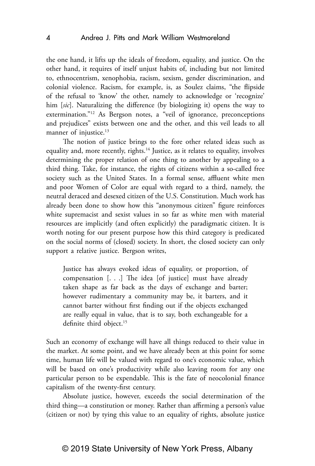the one hand, it lifts up the ideals of freedom, equality, and justice. On the other hand, it requires of itself unjust habits of, including but not limited to, ethnocentrism, xenophobia, racism, sexism, gender discrimination, and colonial violence. Racism, for example, is, as Soulez claims, "the flipside of the refusal to 'know' the other, namely to acknowledge or 'recognize' him [*sic*]. Naturalizing the difference (by biologizing it) opens the way to extermination."12 As Bergson notes, a "veil of ignorance, preconceptions and prejudices" exists between one and the other, and this veil leads to all manner of injustice.<sup>13</sup>

The notion of justice brings to the fore other related ideas such as equality and, more recently, rights.<sup>14</sup> Justice, as it relates to equality, involves determining the proper relation of one thing to another by appealing to a third thing. Take, for instance, the rights of citizens within a so-called free society such as the United States. In a formal sense, affluent white men and poor Women of Color are equal with regard to a third, namely, the neutral deraced and desexed citizen of the U.S. Constitution. Much work has already been done to show how this "anonymous citizen" figure reinforces white supremacist and sexist values in so far as white men with material resources are implicitly (and often explicitly) the paradigmatic citizen. It is worth noting for our present purpose how this third category is predicated on the social norms of (closed) society. In short, the closed society can only support a relative justice. Bergson writes,

Justice has always evoked ideas of equality, or proportion, of compensation [. . .] The idea [of justice] must have already taken shape as far back as the days of exchange and barter; however rudimentary a community may be, it barters, and it cannot barter without first finding out if the objects exchanged are really equal in value, that is to say, both exchangeable for a definite third object.<sup>15</sup>

Such an economy of exchange will have all things reduced to their value in the market. At some point, and we have already been at this point for some time, human life will be valued with regard to one's economic value, which will be based on one's productivity while also leaving room for any one particular person to be expendable. This is the fate of neocolonial finance capitalism of the twenty-first century.

Absolute justice, however, exceeds the social determination of the third thing—a constitution or money. Rather than affirming a person's value (citizen or not) by tying this value to an equality of rights, absolute justice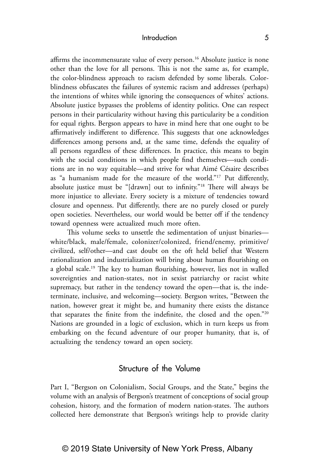affirms the incommensurate value of every person.<sup>16</sup> Absolute justice is none other than the love for all persons. This is not the same as, for example, the color-blindness approach to racism defended by some liberals. Colorblindness obfuscates the failures of systemic racism and addresses (perhaps) the intentions of whites while ignoring the consequences of whites' actions. Absolute justice bypasses the problems of identity politics. One can respect persons in their particularity without having this particularity be a condition for equal rights. Bergson appears to have in mind here that one ought to be affirmatively indifferent to difference. This suggests that one acknowledges differences among persons and, at the same time, defends the equality of all persons regardless of these differences. In practice, this means to begin with the social conditions in which people find themselves—such conditions are in no way equitable—and strive for what Aimé Césaire describes as "a humanism made for the measure of the world."17 Put differently, absolute justice must be "[drawn] out to infinity."18 There will always be more injustice to alleviate. Every society is a mixture of tendencies toward closure and openness. Put differently, there are no purely closed or purely open societies. Nevertheless, our world would be better off if the tendency toward openness were actualized much more often.

This volume seeks to unsettle the sedimentation of unjust binaries white/black, male/female, colonizer/colonized, friend/enemy, primitive/ civilized, self/other—and cast doubt on the oft held belief that Western rationalization and industrialization will bring about human flourishing on a global scale.<sup>19</sup> The key to human flourishing, however, lies not in walled sovereignties and nation-states, not in sexist patriarchy or racist white supremacy, but rather in the tendency toward the open—that is, the indeterminate, inclusive, and welcoming—society. Bergson writes, "Between the nation, however great it might be, and humanity there exists the distance that separates the finite from the indefinite, the closed and the open."20 Nations are grounded in a logic of exclusion, which in turn keeps us from embarking on the fecund adventure of our proper humanity, that is, of actualizing the tendency toward an open society.

## Structure of the Volume

Part I, "Bergson on Colonialism, Social Groups, and the State," begins the volume with an analysis of Bergson's treatment of conceptions of social group cohesion, history, and the formation of modern nation-states. The authors collected here demonstrate that Bergson's writings help to provide clarity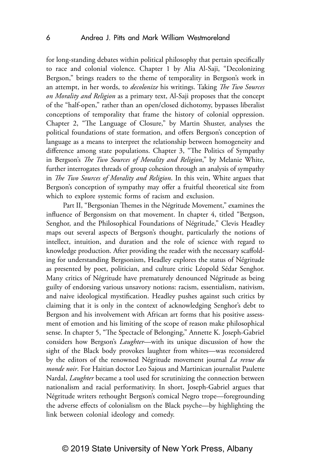for long-standing debates within political philosophy that pertain specifically to race and colonial violence. Chapter 1 by Alia Al-Saji, "Decolonizing Bergson," brings readers to the theme of temporality in Bergson's work in an attempt, in her words, to *decolonize* his writings. Taking *The Two Sources on Morality and Religion* as a primary text, Al-Saji proposes that the concept of the "half-open," rather than an open/closed dichotomy, bypasses liberalist conceptions of temporality that frame the history of colonial oppression. Chapter 2, "The Language of Closure," by Martin Shuster, analyses the political foundations of state formation, and offers Bergson's conception of language as a means to interpret the relationship between homogeneity and difference among state populations. Chapter 3, "The Politics of Sympathy in Bergson's *The Two Sources of Morality and Religion*," by Melanie White, further interrogates threads of group cohesion through an analysis of sympathy in *The Two Sources of Morality and Religion*. In this vein, White argues that Bergson's conception of sympathy may offer a fruitful theoretical site from which to explore systemic forms of racism and exclusion.

Part II, "Bergsonian Themes in the Négritude Movement," examines the influence of Bergonsism on that movement. In chapter 4, titled "Bergson, Senghor, and the Philosophical Foundations of Négritude," Clevis Headley maps out several aspects of Bergson's thought, particularly the notions of intellect, intuition, and duration and the role of science with regard to knowledge production. After providing the reader with the necessary scaffolding for understanding Bergsonism, Headley explores the status of Négritude as presented by poet, politician, and culture critic Léopold Sédar Senghor. Many critics of Négritude have prematurely denounced Négritude as being guilty of endorsing various unsavory notions: racism, essentialism, nativism, and naive ideological mystification. Headley pushes against such critics by claiming that it is only in the context of acknowledging Senghor's debt to Bergson and his involvement with African art forms that his positive assessment of emotion and his limiting of the scope of reason make philosophical sense. In chapter 5, "The Spectacle of Belonging," Annette K. Joseph-Gabriel considers how Bergson's *Laughter*—with its unique discussion of how the sight of the Black body provokes laughter from whites—was reconsidered by the editors of the renowned Négritude movement journal *La revue du monde noir*. For Haitian doctor Leo Sajous and Martinican journalist Paulette Nardal, *Laughter* became a tool used for scrutinizing the connection between nationalism and racial performativity. In short, Joseph-Gabriel argues that Négritude writers rethought Bergson's comical Negro trope—foregrounding the adverse effects of colonialism on the Black psyche—by highlighting the link between colonial ideology and comedy.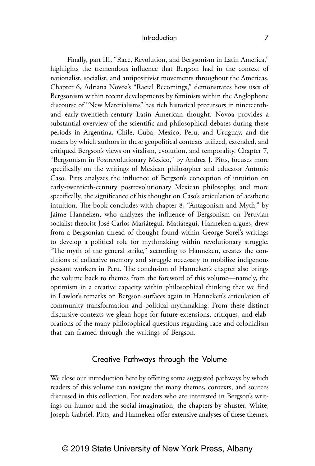Finally, part III, "Race, Revolution, and Bergsonism in Latin America," highlights the tremendous influence that Bergson had in the context of nationalist, socialist, and antipositivist movements throughout the Americas. Chapter 6, Adriana Novoa's "Racial Becomings," demonstrates how uses of Bergsonism within recent developments by feminists within the Anglophone discourse of "New Materialisms" has rich historical precursors in nineteenthand early-twentieth-century Latin American thought. Novoa provides a substantial overview of the scientific and philosophical debates during these periods in Argentina, Chile, Cuba, Mexico, Peru, and Uruguay, and the means by which authors in these geopolitical contexts utilized, extended, and critiqued Bergson's views on vitalism, evolution, and temporality. Chapter 7, "Bergsonism in Postrevolutionary Mexico," by Andrea J. Pitts, focuses more specifically on the writings of Mexican philosopher and educator Antonio Caso. Pitts analyzes the influence of Bergson's conception of intuition on early-twentieth-century postrevolutionary Mexican philosophy, and more specifically, the significance of his thought on Caso's articulation of aesthetic intuition. The book concludes with chapter 8, "Antagonism and Myth," by Jaime Hanneken, who analyzes the influence of Bergsonism on Peruvian socialist theorist José Carlos Mariátegui. Matiátegui, Hanneken argues, drew from a Bergsonian thread of thought found within George Sorel's writings to develop a political role for mythmaking within revolutionary struggle. "The myth of the general strike," according to Hanneken, creates the conditions of collective memory and struggle necessary to mobilize indigenous peasant workers in Peru. The conclusion of Hanneken's chapter also brings the volume back to themes from the foreword of this volume—namely, the optimism in a creative capacity within philosophical thinking that we find in Lawlor's remarks on Bergson surfaces again in Hanneken's articulation of community transformation and political mythmaking. From these distinct discursive contexts we glean hope for future extensions, critiques, and elaborations of the many philosophical questions regarding race and colonialism that can framed through the writings of Bergson.

## Creative Pathways through the Volume

We close our introduction here by offering some suggested pathways by which readers of this volume can navigate the many themes, contexts, and sources discussed in this collection. For readers who are interested in Bergson's writings on humor and the social imagination, the chapters by Shuster, White, Joseph-Gabriel, Pitts, and Hanneken offer extensive analyses of these themes.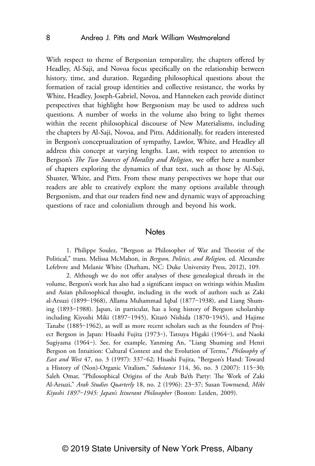With respect to theme of Bergsonian temporality, the chapters offered by Headley, Al-Saji, and Novoa focus specifically on the relationship between history, time, and duration. Regarding philosophical questions about the formation of racial group identities and collective resistance, the works by White, Headley, Joseph-Gabriel, Novoa, and Hanneken each provide distinct perspectives that highlight how Bergsonism may be used to address such questions. A number of works in the volume also bring to light themes within the recent philosophical discourse of New Materialisms, including the chapters by Al-Saji, Novoa, and Pitts. Additionally, for readers interested in Bergson's conceptualization of sympathy, Lawlor, White, and Headley all address this concept at varying lengths. Last, with respect to attention to Bergson's *The Two Sources of Morality and Religion*, we offer here a number of chapters exploring the dynamics of that text, such as those by Al-Saji, Shuster, White, and Pitts. From these many perspectives we hope that our readers are able to creatively explore the many options available through Bergsonism, and that our readers find new and dynamic ways of approaching questions of race and colonialism through and beyond his work.

#### **Notes**

 1. Philippe Soulez, "Bergson as Philosopher of War and Theorist of the Political," trans. Melissa McMahon, in *Bergson, Politics, and Religion,* ed. Alexandre Lefebvre and Melanie White (Durham, NC: Duke University Press, 2012), 109.

 2. Although we do not offer analyses of these genealogical threads in the volume, Bergson's work has also had a significant impact on writings within Muslim and Asian philosophical thought, including in the work of authors such as Zaki al-Arsuzi (1899-1968), Allama Muhammad Iqbal (1877-1938), and Liang Shuming (1893-1988). Japan, in particular, has a long history of Bergson scholarship including Kiyoshi Miki (1897-1945), Kitarō Nishida (1870-1945), and Hajime Tanabe (1885-1962), as well as more recent scholars such as the founders of Project Bergson in Japan: Hisashi Fujita (1973-), Tatsuya Higaki (1964-), and Naoki Sugiyama (1964–). See, for example, Yanming An, "Liang Shuming and Henri Bergson on Intuition: Cultural Context and the Evolution of Terms," *Philosophy of East and West* 47, no. 3 (1997): 337‒62; Hisashi Fujita, "Bergson's Hand: Toward a History of (Non)-Organic Vitalism," Substance 114, 36, no. 3 (2007): 115-30; Saleh Omar, "Philosophical Origins of the Arab Ba'th Party: The Work of Zaki Al-Arsuzi," *Arab Studies Quarterly* 18, no. 2 (1996): 23‒37; Susan Townsend*, Miki Kiyoshi 1897‒1945: Japan's Itinerant Philosopher* (Boston: Leiden, 2009).